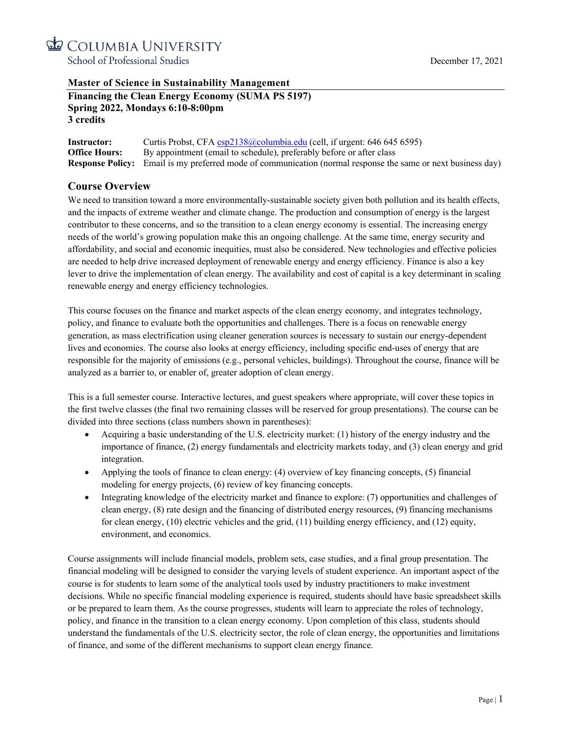

## **Master of Science in Sustainability Management**

| <b>Financing the Clean Energy Economy (SUMA PS 5197)</b> |  |
|----------------------------------------------------------|--|
| <b>Spring 2022, Mondays 6:10-8:00pm</b>                  |  |
| 3 credits                                                |  |

**Instructor:** Curtis Probst, CFA csp2138@columbia.edu (cell, if urgent: 646 645 6595) **Office Hours:** By appointment (email to schedule), preferably before or after class **Response Policy:** Email is my preferred mode of communication (normal response the same or next business day)

## **Course Overview**

We need to transition toward a more environmentally-sustainable society given both pollution and its health effects, and the impacts of extreme weather and climate change. The production and consumption of energy is the largest contributor to these concerns, and so the transition to a clean energy economy is essential. The increasing energy needs of the world's growing population make this an ongoing challenge. At the same time, energy security and affordability, and social and economic inequities, must also be considered. New technologies and effective policies are needed to help drive increased deployment of renewable energy and energy efficiency. Finance is also a key lever to drive the implementation of clean energy. The availability and cost of capital is a key determinant in scaling renewable energy and energy efficiency technologies.

This course focuses on the finance and market aspects of the clean energy economy, and integrates technology, policy, and finance to evaluate both the opportunities and challenges. There is a focus on renewable energy generation, as mass electrification using cleaner generation sources is necessary to sustain our energy-dependent lives and economies. The course also looks at energy efficiency, including specific end-uses of energy that are responsible for the majority of emissions (e.g., personal vehicles, buildings). Throughout the course, finance will be analyzed as a barrier to, or enabler of, greater adoption of clean energy.

This is a full semester course. Interactive lectures, and guest speakers where appropriate, will cover these topics in the first twelve classes (the final two remaining classes will be reserved for group presentations). The course can be divided into three sections (class numbers shown in parentheses):

- Acquiring a basic understanding of the U.S. electricity market: (1) history of the energy industry and the importance of finance, (2) energy fundamentals and electricity markets today, and (3) clean energy and grid integration.
- Applying the tools of finance to clean energy: (4) overview of key financing concepts, (5) financial modeling for energy projects, (6) review of key financing concepts.
- Integrating knowledge of the electricity market and finance to explore: (7) opportunities and challenges of clean energy, (8) rate design and the financing of distributed energy resources, (9) financing mechanisms for clean energy, (10) electric vehicles and the grid, (11) building energy efficiency, and (12) equity, environment, and economics.

Course assignments will include financial models, problem sets, case studies, and a final group presentation. The financial modeling will be designed to consider the varying levels of student experience. An important aspect of the course is for students to learn some of the analytical tools used by industry practitioners to make investment decisions. While no specific financial modeling experience is required, students should have basic spreadsheet skills or be prepared to learn them. As the course progresses, students will learn to appreciate the roles of technology, policy, and finance in the transition to a clean energy economy. Upon completion of this class, students should understand the fundamentals of the U.S. electricity sector, the role of clean energy, the opportunities and limitations of finance, and some of the different mechanisms to support clean energy finance.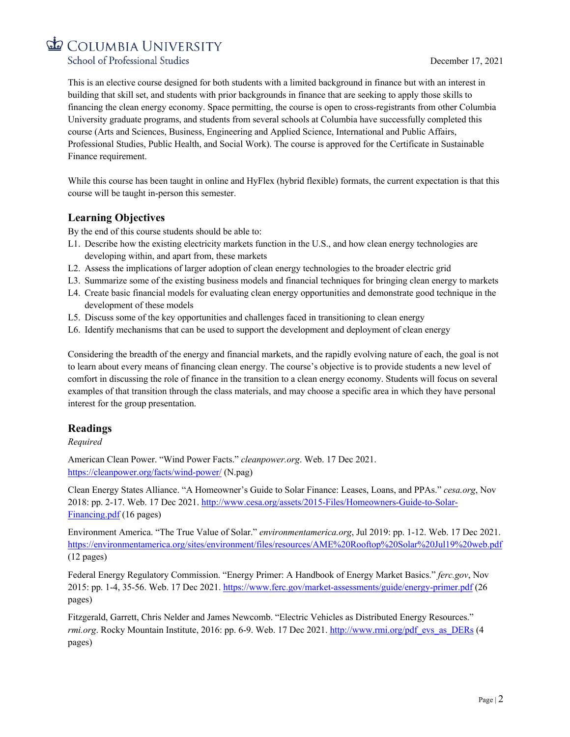School of Professional Studies

This is an elective course designed for both students with a limited background in finance but with an interest in building that skill set, and students with prior backgrounds in finance that are seeking to apply those skills to financing the clean energy economy. Space permitting, the course is open to cross-registrants from other Columbia University graduate programs, and students from several schools at Columbia have successfully completed this course (Arts and Sciences, Business, Engineering and Applied Science, International and Public Affairs, Professional Studies, Public Health, and Social Work). The course is approved for the Certificate in Sustainable Finance requirement.

While this course has been taught in online and HyFlex (hybrid flexible) formats, the current expectation is that this course will be taught in-person this semester.

## **Learning Objectives**

By the end of this course students should be able to:

- L1. Describe how the existing electricity markets function in the U.S., and how clean energy technologies are developing within, and apart from, these markets
- L2. Assess the implications of larger adoption of clean energy technologies to the broader electric grid
- L3. Summarize some of the existing business models and financial techniques for bringing clean energy to markets
- L4. Create basic financial models for evaluating clean energy opportunities and demonstrate good technique in the development of these models
- L5. Discuss some of the key opportunities and challenges faced in transitioning to clean energy
- L6. Identify mechanisms that can be used to support the development and deployment of clean energy

Considering the breadth of the energy and financial markets, and the rapidly evolving nature of each, the goal is not to learn about every means of financing clean energy. The course's objective is to provide students a new level of comfort in discussing the role of finance in the transition to a clean energy economy. Students will focus on several examples of that transition through the class materials, and may choose a specific area in which they have personal interest for the group presentation.

## **Readings**

*Required*

American Clean Power. "Wind Power Facts." *cleanpower.org*. Web. 17 Dec 2021. https://cleanpower.org/facts/wind-power/ (N.pag)

Clean Energy States Alliance. "A Homeowner's Guide to Solar Finance: Leases, Loans, and PPAs." *cesa.org*, Nov 2018: pp. 2-17. Web. 17 Dec 2021. http://www.cesa.org/assets/2015-Files/Homeowners-Guide-to-Solar-Financing.pdf (16 pages)

Environment America. "The True Value of Solar." *environmentamerica.org*, Jul 2019: pp. 1-12. Web. 17 Dec 2021. https://environmentamerica.org/sites/environment/files/resources/AME%20Rooftop%20Solar%20Jul19%20web.pdf (12 pages)

Federal Energy Regulatory Commission. "Energy Primer: A Handbook of Energy Market Basics." *ferc.gov*, Nov 2015: pp. 1-4, 35-56. Web. 17 Dec 2021. https://www.ferc.gov/market-assessments/guide/energy-primer.pdf (26 pages)

Fitzgerald, Garrett, Chris Nelder and James Newcomb. "Electric Vehicles as Distributed Energy Resources." *rmi.org.* Rocky Mountain Institute, 2016: pp. 6-9. Web. 17 Dec 2021. http://www.rmi.org/pdf\_evs\_as\_DERs (4 pages)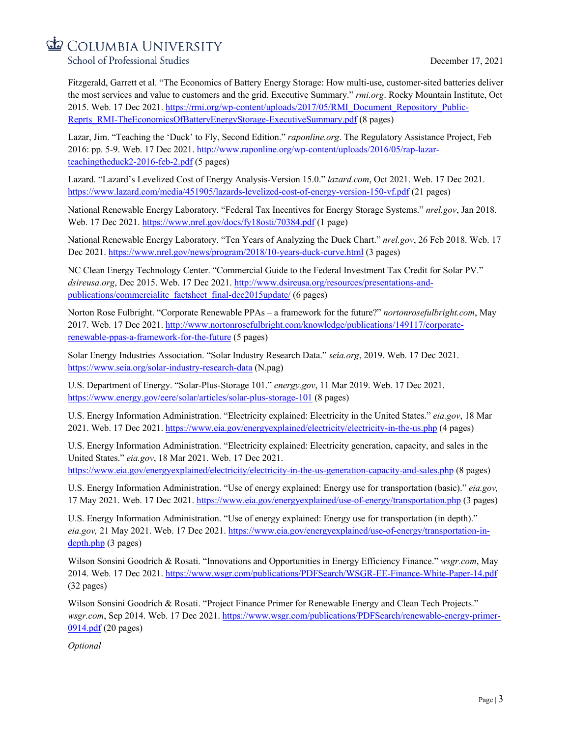School of Professional Studies

Fitzgerald, Garrett et al. "The Economics of Battery Energy Storage: How multi-use, customer-sited batteries deliver the most services and value to customers and the grid. Executive Summary." *rmi.org*. Rocky Mountain Institute, Oct 2015. Web. 17 Dec 2021. https://rmi.org/wp-content/uploads/2017/05/RMI\_Document\_Repository\_Public-Reprts\_RMI-TheEconomicsOfBatteryEnergyStorage-ExecutiveSummary.pdf (8 pages)

Lazar, Jim. "Teaching the 'Duck' to Fly, Second Edition." *raponline.org*. The Regulatory Assistance Project, Feb 2016: pp. 5-9. Web. 17 Dec 2021. http://www.raponline.org/wp-content/uploads/2016/05/rap-lazarteachingtheduck2-2016-feb-2.pdf (5 pages)

Lazard. "Lazard's Levelized Cost of Energy Analysis-Version 15.0." *lazard.com*, Oct 2021. Web. 17 Dec 2021. https://www.lazard.com/media/451905/lazards-levelized-cost-of-energy-version-150-vf.pdf (21 pages)

National Renewable Energy Laboratory. "Federal Tax Incentives for Energy Storage Systems." *nrel.gov*, Jan 2018. Web. 17 Dec 2021. https://www.nrel.gov/docs/fy18osti/70384.pdf (1 page)

National Renewable Energy Laboratory. "Ten Years of Analyzing the Duck Chart." *nrel.gov*, 26 Feb 2018. Web. 17 Dec 2021. https://www.nrel.gov/news/program/2018/10-years-duck-curve.html (3 pages)

NC Clean Energy Technology Center. "Commercial Guide to the Federal Investment Tax Credit for Solar PV." *dsireusa.org*, Dec 2015. Web. 17 Dec 2021. http://www.dsireusa.org/resources/presentations-andpublications/commercialitc\_factsheet\_final-dec2015update/ (6 pages)

Norton Rose Fulbright. "Corporate Renewable PPAs – a framework for the future?" *nortonrosefulbright.com*, May 2017. Web. 17 Dec 2021. http://www.nortonrosefulbright.com/knowledge/publications/149117/corporaterenewable-ppas-a-framework-for-the-future (5 pages)

Solar Energy Industries Association. "Solar Industry Research Data." *seia.org*, 2019. Web. 17 Dec 2021. https://www.seia.org/solar-industry-research-data (N.pag)

U.S. Department of Energy. "Solar-Plus-Storage 101." *energy.gov*, 11 Mar 2019. Web. 17 Dec 2021. https://www.energy.gov/eere/solar/articles/solar-plus-storage-101 (8 pages)

U.S. Energy Information Administration. "Electricity explained: Electricity in the United States." *eia.gov*, 18 Mar 2021. Web. 17 Dec 2021. https://www.eia.gov/energyexplained/electricity/electricity-in-the-us.php (4 pages)

U.S. Energy Information Administration. "Electricity explained: Electricity generation, capacity, and sales in the United States." *eia.gov*, 18 Mar 2021. Web. 17 Dec 2021.

https://www.eia.gov/energyexplained/electricity/electricity-in-the-us-generation-capacity-and-sales.php (8 pages)

U.S. Energy Information Administration. "Use of energy explained: Energy use for transportation (basic)." *eia.gov,* 17 May 2021. Web. 17 Dec 2021. https://www.eia.gov/energyexplained/use-of-energy/transportation.php (3 pages)

U.S. Energy Information Administration. "Use of energy explained: Energy use for transportation (in depth)." *eia.gov,* 21 May 2021. Web. 17 Dec 2021. https://www.eia.gov/energyexplained/use-of-energy/transportation-indepth.php (3 pages)

Wilson Sonsini Goodrich & Rosati. "Innovations and Opportunities in Energy Efficiency Finance." *wsgr.com*, May 2014. Web. 17 Dec 2021. https://www.wsgr.com/publications/PDFSearch/WSGR-EE-Finance-White-Paper-14.pdf (32 pages)

Wilson Sonsini Goodrich & Rosati. "Project Finance Primer for Renewable Energy and Clean Tech Projects." *wsgr.com*, Sep 2014. Web. 17 Dec 2021. https://www.wsgr.com/publications/PDFSearch/renewable-energy-primer-0914.pdf (20 pages)

*Optional*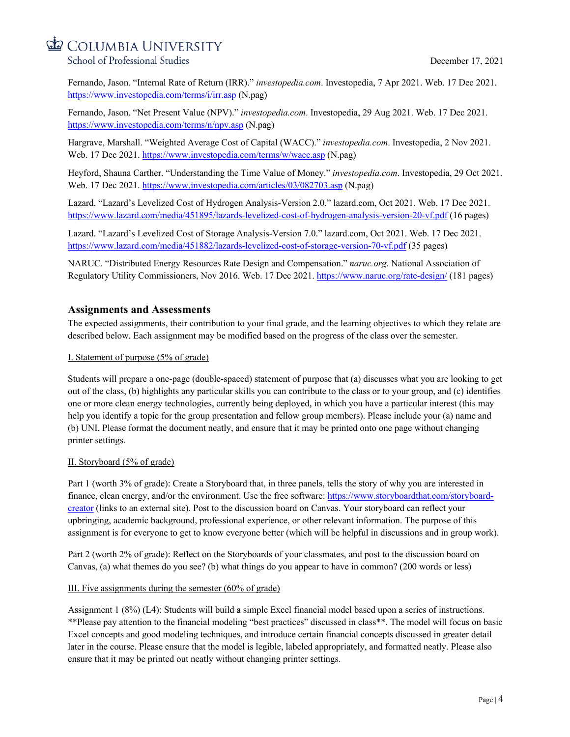School of Professional Studies

Fernando, Jason. "Internal Rate of Return (IRR)." *investopedia.com*. Investopedia, 7 Apr 2021. Web. 17 Dec 2021. https://www.investopedia.com/terms/i/irr.asp (N.pag)

Fernando, Jason. "Net Present Value (NPV)." *investopedia.com*. Investopedia, 29 Aug 2021. Web. 17 Dec 2021. https://www.investopedia.com/terms/n/npv.asp (N.pag)

Hargrave, Marshall. "Weighted Average Cost of Capital (WACC)." *investopedia.com*. Investopedia, 2 Nov 2021. Web. 17 Dec 2021. https://www.investopedia.com/terms/w/wacc.asp (N.pag)

Heyford, Shauna Carther. "Understanding the Time Value of Money." *investopedia.com*. Investopedia, 29 Oct 2021. Web. 17 Dec 2021. https://www.investopedia.com/articles/03/082703.asp (N.pag)

Lazard. "Lazard's Levelized Cost of Hydrogen Analysis-Version 2.0." lazard.com, Oct 2021. Web. 17 Dec 2021. https://www.lazard.com/media/451895/lazards-levelized-cost-of-hydrogen-analysis-version-20-vf.pdf (16 pages)

Lazard. "Lazard's Levelized Cost of Storage Analysis-Version 7.0." lazard.com, Oct 2021. Web. 17 Dec 2021. https://www.lazard.com/media/451882/lazards-levelized-cost-of-storage-version-70-vf.pdf (35 pages)

NARUC. "Distributed Energy Resources Rate Design and Compensation." *naruc.org*. National Association of Regulatory Utility Commissioners, Nov 2016. Web. 17 Dec 2021. https://www.naruc.org/rate-design/ (181 pages)

## **Assignments and Assessments**

The expected assignments, their contribution to your final grade, and the learning objectives to which they relate are described below. Each assignment may be modified based on the progress of the class over the semester.

#### I. Statement of purpose (5% of grade)

Students will prepare a one-page (double-spaced) statement of purpose that (a) discusses what you are looking to get out of the class, (b) highlights any particular skills you can contribute to the class or to your group, and (c) identifies one or more clean energy technologies, currently being deployed, in which you have a particular interest (this may help you identify a topic for the group presentation and fellow group members). Please include your (a) name and (b) UNI. Please format the document neatly, and ensure that it may be printed onto one page without changing printer settings.

## II. Storyboard (5% of grade)

Part 1 (worth 3% of grade): Create a Storyboard that, in three panels, tells the story of why you are interested in finance, clean energy, and/or the environment. Use the free software: https://www.storyboardthat.com/storyboardcreator (links to an external site). Post to the discussion board on Canvas. Your storyboard can reflect your upbringing, academic background, professional experience, or other relevant information. The purpose of this assignment is for everyone to get to know everyone better (which will be helpful in discussions and in group work).

Part 2 (worth 2% of grade): Reflect on the Storyboards of your classmates, and post to the discussion board on Canvas, (a) what themes do you see? (b) what things do you appear to have in common? (200 words or less)

## III. Five assignments during the semester (60% of grade)

Assignment 1 (8%) (L4): Students will build a simple Excel financial model based upon a series of instructions. \*\*Please pay attention to the financial modeling "best practices" discussed in class\*\*. The model will focus on basic Excel concepts and good modeling techniques, and introduce certain financial concepts discussed in greater detail later in the course. Please ensure that the model is legible, labeled appropriately, and formatted neatly. Please also ensure that it may be printed out neatly without changing printer settings.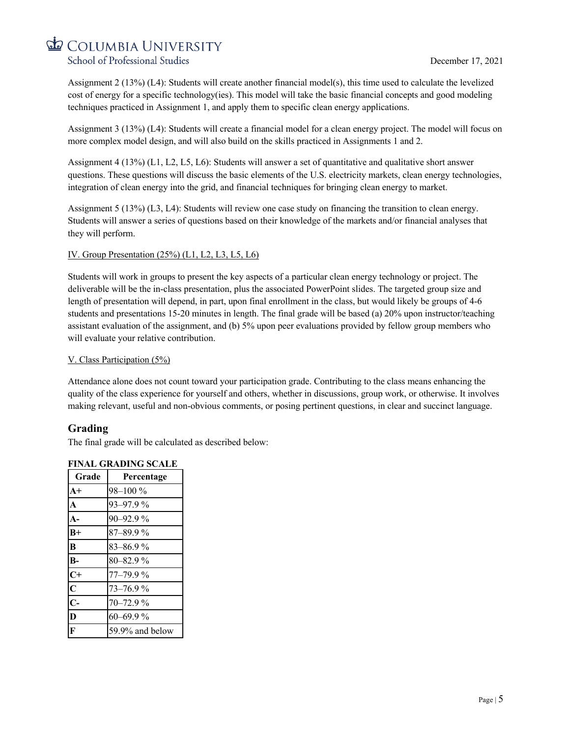COLUMBIA UNIVERSITY School of Professional Studies

Assignment 2 (13%) (L4): Students will create another financial model(s), this time used to calculate the levelized cost of energy for a specific technology(ies). This model will take the basic financial concepts and good modeling techniques practiced in Assignment 1, and apply them to specific clean energy applications.

Assignment 3 (13%) (L4): Students will create a financial model for a clean energy project. The model will focus on more complex model design, and will also build on the skills practiced in Assignments 1 and 2.

Assignment 4 (13%) (L1, L2, L5, L6): Students will answer a set of quantitative and qualitative short answer questions. These questions will discuss the basic elements of the U.S. electricity markets, clean energy technologies, integration of clean energy into the grid, and financial techniques for bringing clean energy to market.

Assignment 5 (13%) (L3, L4): Students will review one case study on financing the transition to clean energy. Students will answer a series of questions based on their knowledge of the markets and/or financial analyses that they will perform.

## IV. Group Presentation (25%) (L1, L2, L3, L5, L6)

Students will work in groups to present the key aspects of a particular clean energy technology or project. The deliverable will be the in-class presentation, plus the associated PowerPoint slides. The targeted group size and length of presentation will depend, in part, upon final enrollment in the class, but would likely be groups of 4-6 students and presentations 15-20 minutes in length. The final grade will be based (a) 20% upon instructor/teaching assistant evaluation of the assignment, and (b) 5% upon peer evaluations provided by fellow group members who will evaluate your relative contribution.

## V. Class Participation (5%)

Attendance alone does not count toward your participation grade. Contributing to the class means enhancing the quality of the class experience for yourself and others, whether in discussions, group work, or otherwise. It involves making relevant, useful and non-obvious comments, or posing pertinent questions, in clear and succinct language.

## **Grading**

The final grade will be calculated as described below:

## **FINAL GRADING SCALE**

| Grade                   | Percentage      |
|-------------------------|-----------------|
| $A+$                    | 98-100 %        |
| $\overline{\mathbf{A}}$ | 93-97.9%        |
| $A -$                   | $90 - 92.9%$    |
| $B+$                    | 87-89.9%        |
| l B                     | 83-86.9%        |
| B-                      | 80-82.9%        |
| $C+$                    | $77 - 79.9%$    |
| $\overline{\mathbf{C}}$ | 73-76.9%        |
| $\overline{C}$          | 70-72.9%        |
| D                       | $60 - 69.9%$    |
| IF                      | 59.9% and below |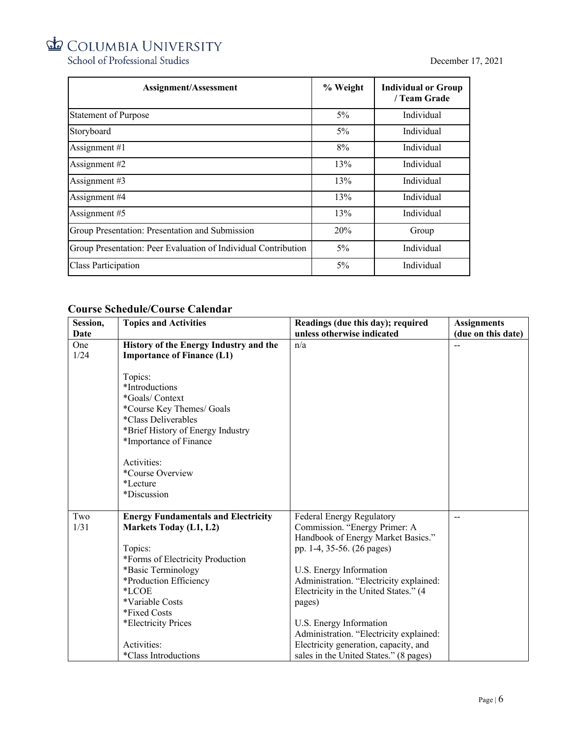School of Professional Studies

| <b>Assignment/Assessment</b>                                   | % Weight | <b>Individual or Group</b><br>/ Team Grade |
|----------------------------------------------------------------|----------|--------------------------------------------|
| <b>Statement of Purpose</b>                                    | $5\%$    | Individual                                 |
| Storyboard                                                     | $5\%$    | Individual                                 |
| Assignment $#1$                                                | 8%       | Individual                                 |
| Assignment #2                                                  | 13%      | Individual                                 |
| Assignment #3                                                  | 13%      | Individual                                 |
| Assignment #4                                                  | 13%      | Individual                                 |
| Assignment #5                                                  | 13%      | Individual                                 |
| Group Presentation: Presentation and Submission                | 20%      | Group                                      |
| Group Presentation: Peer Evaluation of Individual Contribution | $5\%$    | Individual                                 |
| Class Participation                                            | $5\%$    | Individual                                 |

## **Course Schedule/Course Calendar**

| Session, | <b>Topics and Activities</b>               | Readings (due this day); required       | <b>Assignments</b> |
|----------|--------------------------------------------|-----------------------------------------|--------------------|
| Date     |                                            | unless otherwise indicated              | (due on this date) |
| One      | History of the Energy Industry and the     | n/a                                     |                    |
| 1/24     | <b>Importance of Finance (L1)</b>          |                                         |                    |
|          |                                            |                                         |                    |
|          | Topics:                                    |                                         |                    |
|          | *Introductions                             |                                         |                    |
|          | *Goals/Context                             |                                         |                    |
|          | *Course Key Themes/ Goals                  |                                         |                    |
|          | <i>*Class Deliverables</i>                 |                                         |                    |
|          | *Brief History of Energy Industry          |                                         |                    |
|          | *Importance of Finance                     |                                         |                    |
|          |                                            |                                         |                    |
|          | Activities:                                |                                         |                    |
|          | *Course Overview                           |                                         |                    |
|          | *Lecture                                   |                                         |                    |
|          | *Discussion                                |                                         |                    |
|          |                                            |                                         |                    |
| Two      | <b>Energy Fundamentals and Electricity</b> | Federal Energy Regulatory               | --                 |
| 1/31     | <b>Markets Today (L1, L2)</b>              | Commission. "Energy Primer: A           |                    |
|          |                                            | Handbook of Energy Market Basics."      |                    |
|          | Topics:                                    | pp. 1-4, 35-56. (26 pages)              |                    |
|          | *Forms of Electricity Production           |                                         |                    |
|          | *Basic Terminology                         | U.S. Energy Information                 |                    |
|          | *Production Efficiency                     | Administration. "Electricity explained: |                    |
|          | *LCOE                                      | Electricity in the United States." (4   |                    |
|          | *Variable Costs                            | pages)                                  |                    |
|          | *Fixed Costs                               |                                         |                    |
|          | *Electricity Prices                        | U.S. Energy Information                 |                    |
|          |                                            | Administration. "Electricity explained: |                    |
|          | Activities:                                | Electricity generation, capacity, and   |                    |
|          | *Class Introductions                       | sales in the United States." (8 pages)  |                    |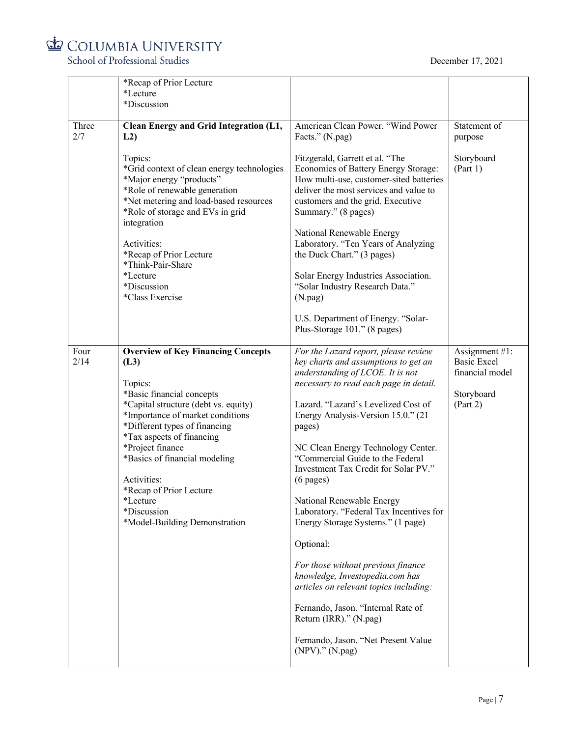

School of Professional Studies

|              | *Recap of Prior Lecture<br>*Lecture<br>*Discussion                                                                                                                                                                                                                                                                                                                                             |                                                                                                                                                                                                                                                                                                                                                                                                                                                                                                                                                                                                                                                                                                                                                                        |                                                                                   |
|--------------|------------------------------------------------------------------------------------------------------------------------------------------------------------------------------------------------------------------------------------------------------------------------------------------------------------------------------------------------------------------------------------------------|------------------------------------------------------------------------------------------------------------------------------------------------------------------------------------------------------------------------------------------------------------------------------------------------------------------------------------------------------------------------------------------------------------------------------------------------------------------------------------------------------------------------------------------------------------------------------------------------------------------------------------------------------------------------------------------------------------------------------------------------------------------------|-----------------------------------------------------------------------------------|
| Three<br>2/7 | Clean Energy and Grid Integration (L1,<br>L2)                                                                                                                                                                                                                                                                                                                                                  | American Clean Power. "Wind Power<br>Facts." (N.pag)                                                                                                                                                                                                                                                                                                                                                                                                                                                                                                                                                                                                                                                                                                                   | Statement of<br>purpose                                                           |
|              | Topics:<br>*Grid context of clean energy technologies<br>*Major energy "products"<br>*Role of renewable generation<br>*Net metering and load-based resources<br>*Role of storage and EVs in grid<br>integration<br>Activities:<br>*Recap of Prior Lecture                                                                                                                                      | Fitzgerald, Garrett et al. "The<br>Economics of Battery Energy Storage:<br>How multi-use, customer-sited batteries<br>deliver the most services and value to<br>customers and the grid. Executive<br>Summary." (8 pages)<br>National Renewable Energy<br>Laboratory. "Ten Years of Analyzing<br>the Duck Chart." (3 pages)                                                                                                                                                                                                                                                                                                                                                                                                                                             | Storyboard<br>(Part 1)                                                            |
|              | *Think-Pair-Share<br>*Lecture<br>*Discussion<br>*Class Exercise                                                                                                                                                                                                                                                                                                                                | Solar Energy Industries Association.<br>"Solar Industry Research Data."<br>(N.png)                                                                                                                                                                                                                                                                                                                                                                                                                                                                                                                                                                                                                                                                                     |                                                                                   |
|              |                                                                                                                                                                                                                                                                                                                                                                                                | U.S. Department of Energy. "Solar-<br>Plus-Storage 101." (8 pages)                                                                                                                                                                                                                                                                                                                                                                                                                                                                                                                                                                                                                                                                                                     |                                                                                   |
| Four<br>2/14 | <b>Overview of Key Financing Concepts</b><br>(L3)<br>Topics:<br>*Basic financial concepts<br>*Capital structure (debt vs. equity)<br>*Importance of market conditions<br>*Different types of financing<br>*Tax aspects of financing<br>*Project finance<br>*Basics of financial modeling<br>Activities:<br>*Recap of Prior Lecture<br>*Lecture<br>*Discussion<br>*Model-Building Demonstration | For the Lazard report, please review<br>key charts and assumptions to get an<br>understanding of LCOE. It is not<br>necessary to read each page in detail.<br>Lazard. "Lazard's Levelized Cost of<br>Energy Analysis-Version 15.0." (21<br>pages)<br>NC Clean Energy Technology Center.<br>"Commercial Guide to the Federal<br>Investment Tax Credit for Solar PV."<br>$(6 \text{ pages})$<br>National Renewable Energy<br>Laboratory. "Federal Tax Incentives for<br>Energy Storage Systems." (1 page)<br>Optional:<br>For those without previous finance<br>knowledge, Investopedia.com has<br>articles on relevant topics including:<br>Fernando, Jason. "Internal Rate of<br>Return (IRR)." (N.pag)<br>Fernando, Jason. "Net Present Value<br>$(NPV)$ ." $(N.png)$ | Assignment #1:<br><b>Basic Excel</b><br>financial model<br>Storyboard<br>(Part 2) |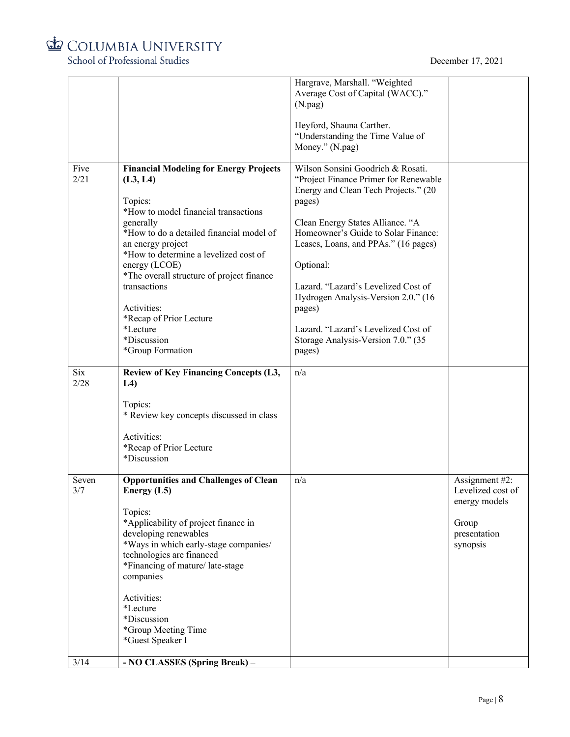

School of Professional Studies

|              |                                                                                                                                                                                                                                                                                                                                                                                                            | Hargrave, Marshall. "Weighted<br>Average Cost of Capital (WACC)."<br>(N.png)<br>Heyford, Shauna Carther.<br>"Understanding the Time Value of<br>Money." (N.pag)                                                                                                                                                                                                                                                                             |                                                                                           |
|--------------|------------------------------------------------------------------------------------------------------------------------------------------------------------------------------------------------------------------------------------------------------------------------------------------------------------------------------------------------------------------------------------------------------------|---------------------------------------------------------------------------------------------------------------------------------------------------------------------------------------------------------------------------------------------------------------------------------------------------------------------------------------------------------------------------------------------------------------------------------------------|-------------------------------------------------------------------------------------------|
| Five<br>2/21 | <b>Financial Modeling for Energy Projects</b><br>(L3, L4)<br>Topics:<br>*How to model financial transactions<br>generally<br>*How to do a detailed financial model of<br>an energy project<br>*How to determine a levelized cost of<br>energy (LCOE)<br>*The overall structure of project finance<br>transactions<br>Activities:<br>*Recap of Prior Lecture<br>*Lecture<br>*Discussion<br>*Group Formation | Wilson Sonsini Goodrich & Rosati.<br>"Project Finance Primer for Renewable<br>Energy and Clean Tech Projects." (20<br>pages)<br>Clean Energy States Alliance. "A<br>Homeowner's Guide to Solar Finance:<br>Leases, Loans, and PPAs." (16 pages)<br>Optional:<br>Lazard. "Lazard's Levelized Cost of<br>Hydrogen Analysis-Version 2.0." (16<br>pages)<br>Lazard. "Lazard's Levelized Cost of<br>Storage Analysis-Version 7.0." (35<br>pages) |                                                                                           |
| Six<br>2/28  | <b>Review of Key Financing Concepts (L3,</b><br>L4<br>Topics:<br>* Review key concepts discussed in class<br>Activities:<br>*Recap of Prior Lecture<br>*Discussion                                                                                                                                                                                                                                         | n/a                                                                                                                                                                                                                                                                                                                                                                                                                                         |                                                                                           |
| Seven<br>3/7 | <b>Opportunities and Challenges of Clean</b><br>Energy (L5)<br>Topics:<br>*Applicability of project finance in<br>developing renewables<br>*Ways in which early-stage companies/<br>technologies are financed<br>*Financing of mature/late-stage<br>companies<br>Activities:<br>*Lecture<br>*Discussion<br>*Group Meeting Time<br>*Guest Speaker I                                                         | n/a                                                                                                                                                                                                                                                                                                                                                                                                                                         | Assignment #2:<br>Levelized cost of<br>energy models<br>Group<br>presentation<br>synopsis |
| 3/14         | - NO CLASSES (Spring Break) -                                                                                                                                                                                                                                                                                                                                                                              |                                                                                                                                                                                                                                                                                                                                                                                                                                             |                                                                                           |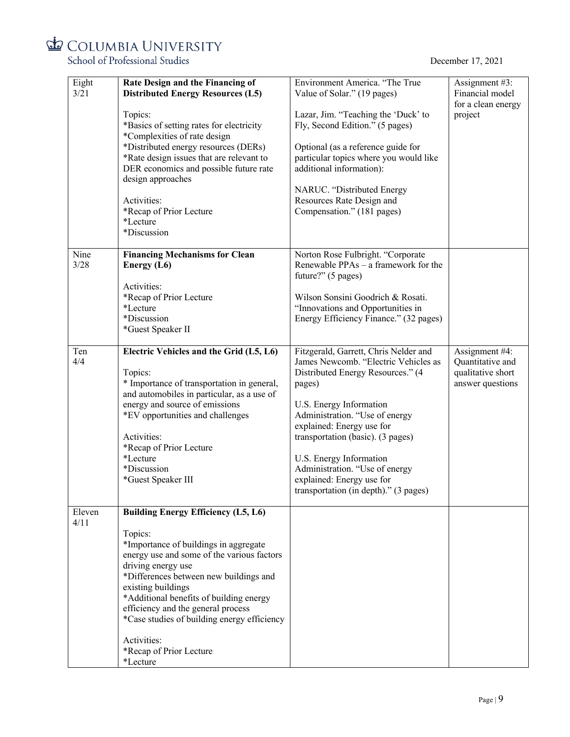School of Professional Studies

| Eight  | Rate Design and the Financing of            | Environment America. "The True         | Assignment #3:     |
|--------|---------------------------------------------|----------------------------------------|--------------------|
| 3/21   | <b>Distributed Energy Resources (L5)</b>    | Value of Solar." (19 pages)            | Financial model    |
|        |                                             |                                        | for a clean energy |
|        | Topics:                                     | Lazar, Jim. "Teaching the 'Duck' to    | project            |
|        | *Basics of setting rates for electricity    | Fly, Second Edition." (5 pages)        |                    |
|        | *Complexities of rate design                |                                        |                    |
|        | *Distributed energy resources (DERs)        | Optional (as a reference guide for     |                    |
|        |                                             |                                        |                    |
|        | *Rate design issues that are relevant to    | particular topics where you would like |                    |
|        | DER economics and possible future rate      | additional information):               |                    |
|        | design approaches                           |                                        |                    |
|        |                                             | NARUC. "Distributed Energy             |                    |
|        | Activities:                                 | Resources Rate Design and              |                    |
|        | *Recap of Prior Lecture                     | Compensation." (181 pages)             |                    |
|        | *Lecture                                    |                                        |                    |
|        | *Discussion                                 |                                        |                    |
|        |                                             |                                        |                    |
|        |                                             |                                        |                    |
| Nine   | <b>Financing Mechanisms for Clean</b>       | Norton Rose Fulbright. "Corporate      |                    |
| 3/28   | Energy (L6)                                 | Renewable PPAs - a framework for the   |                    |
|        |                                             | future?" (5 pages)                     |                    |
|        | Activities:                                 |                                        |                    |
|        | *Recap of Prior Lecture                     | Wilson Sonsini Goodrich & Rosati.      |                    |
|        | *Lecture                                    | "Innovations and Opportunities in      |                    |
|        | *Discussion                                 | Energy Efficiency Finance." (32 pages) |                    |
|        |                                             |                                        |                    |
|        | *Guest Speaker II                           |                                        |                    |
|        |                                             |                                        |                    |
| Ten    | Electric Vehicles and the Grid (L5, L6)     | Fitzgerald, Garrett, Chris Nelder and  | Assignment #4:     |
| 4/4    |                                             | James Newcomb. "Electric Vehicles as   | Quantitative and   |
|        | Topics:                                     | Distributed Energy Resources." (4      | qualitative short  |
|        | * Importance of transportation in general,  | pages)                                 | answer questions   |
|        | and automobiles in particular, as a use of  |                                        |                    |
|        | energy and source of emissions              | U.S. Energy Information                |                    |
|        | *EV opportunities and challenges            | Administration. "Use of energy         |                    |
|        |                                             | explained: Energy use for              |                    |
|        |                                             |                                        |                    |
|        | Activities:                                 | transportation (basic). (3 pages)      |                    |
|        | *Recap of Prior Lecture                     |                                        |                    |
|        | *Lecture                                    | U.S. Energy Information                |                    |
|        | *Discussion                                 | Administration. "Use of energy         |                    |
|        | *Guest Speaker III                          | explained: Energy use for              |                    |
|        |                                             | transportation (in depth)." (3 pages)  |                    |
|        |                                             |                                        |                    |
| Eleven | <b>Building Energy Efficiency (L5, L6)</b>  |                                        |                    |
| 4/11   |                                             |                                        |                    |
|        | Topics:                                     |                                        |                    |
|        |                                             |                                        |                    |
|        | *Importance of buildings in aggregate       |                                        |                    |
|        | energy use and some of the various factors  |                                        |                    |
|        | driving energy use                          |                                        |                    |
|        | *Differences between new buildings and      |                                        |                    |
|        | existing buildings                          |                                        |                    |
|        | *Additional benefits of building energy     |                                        |                    |
|        | efficiency and the general process          |                                        |                    |
|        | *Case studies of building energy efficiency |                                        |                    |
|        |                                             |                                        |                    |
|        | Activities:                                 |                                        |                    |
|        | *Recap of Prior Lecture                     |                                        |                    |
|        |                                             |                                        |                    |
|        | *Lecture                                    |                                        |                    |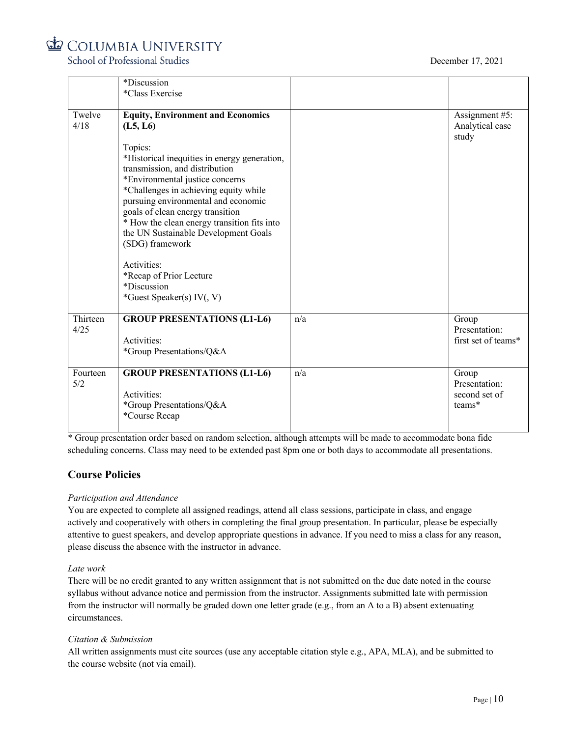## December 17, 2021



School of Professional Studies

|          | *Discussion                                  |     |                     |
|----------|----------------------------------------------|-----|---------------------|
|          | *Class Exercise                              |     |                     |
|          |                                              |     |                     |
| Twelve   | <b>Equity, Environment and Economics</b>     |     | Assignment #5:      |
| 4/18     | (L5, L6)                                     |     | Analytical case     |
|          |                                              |     | study               |
|          | Topics:                                      |     |                     |
|          | *Historical inequities in energy generation, |     |                     |
|          | transmission, and distribution               |     |                     |
|          | *Environmental justice concerns              |     |                     |
|          | *Challenges in achieving equity while        |     |                     |
|          | pursuing environmental and economic          |     |                     |
|          | goals of clean energy transition             |     |                     |
|          | * How the clean energy transition fits into  |     |                     |
|          | the UN Sustainable Development Goals         |     |                     |
|          | (SDG) framework                              |     |                     |
|          |                                              |     |                     |
|          | Activities:                                  |     |                     |
|          | *Recap of Prior Lecture                      |     |                     |
|          | *Discussion                                  |     |                     |
|          | *Guest Speaker(s) IV(, V)                    |     |                     |
| Thirteen | <b>GROUP PRESENTATIONS (L1-L6)</b>           | n/a | Group               |
| 4/25     |                                              |     | Presentation:       |
|          | Activities:                                  |     | first set of teams* |
|          | *Group Presentations/Q&A                     |     |                     |
|          |                                              |     |                     |
| Fourteen | <b>GROUP PRESENTATIONS (L1-L6)</b>           | n/a | Group               |
| 5/2      |                                              |     | Presentation:       |
|          | Activities:                                  |     | second set of       |
|          | *Group Presentations/Q&A                     |     | teams*              |
|          | *Course Recap                                |     |                     |
|          |                                              |     |                     |

\* Group presentation order based on random selection, although attempts will be made to accommodate bona fide scheduling concerns. Class may need to be extended past 8pm one or both days to accommodate all presentations.

## **Course Policies**

## *Participation and Attendance*

You are expected to complete all assigned readings, attend all class sessions, participate in class, and engage actively and cooperatively with others in completing the final group presentation. In particular, please be especially attentive to guest speakers, and develop appropriate questions in advance. If you need to miss a class for any reason, please discuss the absence with the instructor in advance.

## *Late work*

There will be no credit granted to any written assignment that is not submitted on the due date noted in the course syllabus without advance notice and permission from the instructor. Assignments submitted late with permission from the instructor will normally be graded down one letter grade (e.g., from an A to a B) absent extenuating circumstances.

## *Citation & Submission*

All written assignments must cite sources (use any acceptable citation style e.g., APA, MLA), and be submitted to the course website (not via email).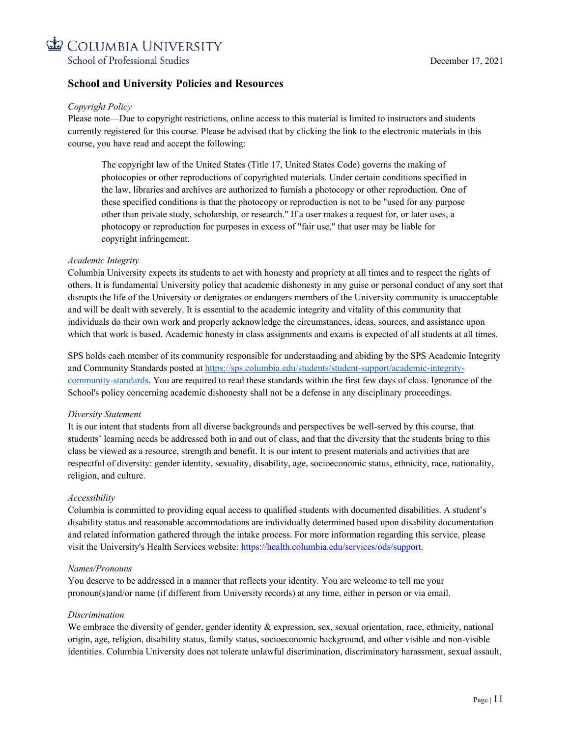

## **School and University Policies and Resources**

## *Copyright Policy*

Please note—Due to copyright restrictions, online access to this material is limited to instructors and students currently registered for this course. Please be advised that by clicking the link to the electronic materials in this course, you have read and accept the following:

The copyright law of the United States (Title 17, United States Code) governs the making of photocopies or other reproductions of copyrighted materials. Under certain conditions specified in the law, libraries and archives are authorized to furnish a photocopy or other reproduction. One of these specified conditions is that the photocopy or reproduction is not to be "used for any purpose other than private study, scholarship, or research." If a user makes a request for, or later uses, a photocopy or reproduction for purposes in excess of "fair use," that user may be liable for copyright infringement.

## *Academic Integrity*

Columbia University expects its students to act with honesty and propriety at all times and to respect the rights of others. It is fundamental University policy that academic dishonesty in any guise or personal conduct of any sort that disrupts the life of the University or denigrates or endangers members of the University community is unacceptable and will be dealt with severely. It is essential to the academic integrity and vitality of this community that individuals do their own work and properly acknowledge the circumstances, ideas, sources, and assistance upon which that work is based. Academic honesty in class assignments and exams is expected of all students at all times.

SPS holds each member of its community responsible for understanding and abiding by the SPS Academic Integrity and Community Standards posted at https://sps.columbia.edu/students/student-support/academic-integritycommunity-standards. You are required to read these standards within the first few days of class. Ignorance of the School's policy concerning academic dishonesty shall not be a defense in any disciplinary proceedings.

## *Diversity Statement*

It is our intent that students from all diverse backgrounds and perspectives be well-served by this course, that students' learning needs be addressed both in and out of class, and that the diversity that the students bring to this class be viewed as a resource, strength and benefit. It is our intent to present materials and activities that are respectful of diversity: gender identity, sexuality, disability, age, socioeconomic status, ethnicity, race, nationality, religion, and culture.

## *Accessibility*

Columbia is committed to providing equal access to qualified students with documented disabilities. A student's disability status and reasonable accommodations are individually determined based upon disability documentation and related information gathered through the intake process. For more information regarding this service, please visit the University's Health Services website: https://health.columbia.edu/services/ods/support.

## *Names/Pronouns*

You deserve to be addressed in a manner that reflects your identity. You are welcome to tell me your pronoun(s)and/or name (if different from University records) at any time, either in person or via email.

## *Discrimination*

We embrace the diversity of gender, gender identity & expression, sex, sexual orientation, race, ethnicity, national origin, age, religion, disability status, family status, socioeconomic background, and other visible and non-visible identities. Columbia University does not tolerate unlawful discrimination, discriminatory harassment, sexual assault,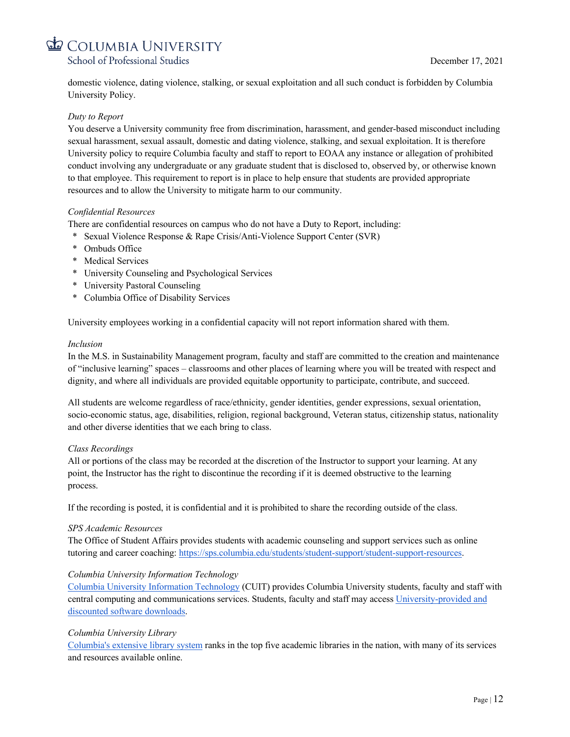

domestic violence, dating violence, stalking, or sexual exploitation and all such conduct is forbidden by Columbia University Policy.

## *Duty to Report*

You deserve a University community free from discrimination, harassment, and gender-based misconduct including sexual harassment, sexual assault, domestic and dating violence, stalking, and sexual exploitation. It is therefore University policy to require Columbia faculty and staff to report to EOAA any instance or allegation of prohibited conduct involving any undergraduate or any graduate student that is disclosed to, observed by, or otherwise known to that employee. This requirement to report is in place to help ensure that students are provided appropriate resources and to allow the University to mitigate harm to our community.

#### *Confidential Resources*

There are confidential resources on campus who do not have a Duty to Report, including:

- \* Sexual Violence Response & Rape Crisis/Anti-Violence Support Center (SVR)
- \* Ombuds Office
- \* Medical Services
- \* University Counseling and Psychological Services
- \* University Pastoral Counseling
- \* Columbia Office of Disability Services

University employees working in a confidential capacity will not report information shared with them.

#### *Inclusion*

In the M.S. in Sustainability Management program, faculty and staff are committed to the creation and maintenance of "inclusive learning" spaces – classrooms and other places of learning where you will be treated with respect and dignity, and where all individuals are provided equitable opportunity to participate, contribute, and succeed.

All students are welcome regardless of race/ethnicity, gender identities, gender expressions, sexual orientation, socio-economic status, age, disabilities, religion, regional background, Veteran status, citizenship status, nationality and other diverse identities that we each bring to class.

## *Class Recordings*

All or portions of the class may be recorded at the discretion of the Instructor to support your learning. At any point, the Instructor has the right to discontinue the recording if it is deemed obstructive to the learning process.

If the recording is posted, it is confidential and it is prohibited to share the recording outside of the class.

#### *SPS Academic Resources*

The Office of Student Affairs provides students with academic counseling and support services such as online tutoring and career coaching: https://sps.columbia.edu/students/student-support/student-support-resources.

## *Columbia University Information Technology*

Columbia University Information Technology (CUIT) provides Columbia University students, faculty and staff with central computing and communications services. Students, faculty and staff may access University-provided and discounted software downloads.

## *Columbia University Library*

Columbia's extensive library system ranks in the top five academic libraries in the nation, with many of its services and resources available online.